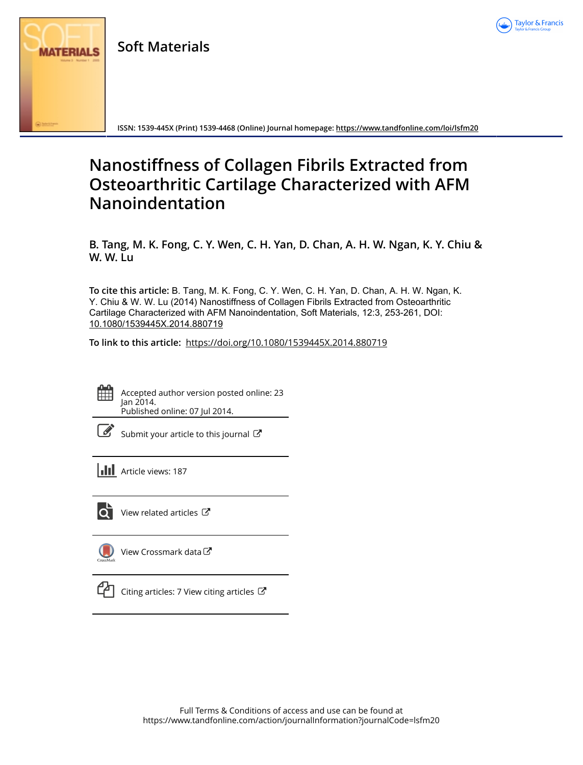

**Soft Materials**



**ISSN: 1539-445X (Print) 1539-4468 (Online) Journal homepage: <https://www.tandfonline.com/loi/lsfm20>**

# **Nanostiffness of Collagen Fibrils Extracted from Osteoarthritic Cartilage Characterized with AFM Nanoindentation**

**B. Tang, M. K. Fong, C. Y. Wen, C. H. Yan, D. Chan, A. H. W. Ngan, K. Y. Chiu & W. W. Lu**

**To cite this article:** B. Tang, M. K. Fong, C. Y. Wen, C. H. Yan, D. Chan, A. H. W. Ngan, K. Y. Chiu & W. W. Lu (2014) Nanostiffness of Collagen Fibrils Extracted from Osteoarthritic Cartilage Characterized with AFM Nanoindentation, Soft Materials, 12:3, 253-261, DOI: [10.1080/1539445X.2014.880719](https://www.tandfonline.com/action/showCitFormats?doi=10.1080/1539445X.2014.880719)

**To link to this article:** <https://doi.org/10.1080/1539445X.2014.880719>



Accepted author version posted online: 23 Jan 2014. Published online: 07 Jul 2014.

[Submit your article to this journal](https://www.tandfonline.com/action/authorSubmission?journalCode=lsfm20&show=instructions)  $\mathbb{Z}$ 

**Article views: 187** 



[View related articles](https://www.tandfonline.com/doi/mlt/10.1080/1539445X.2014.880719)  $\mathbb{Z}$ 



[View Crossmark data](http://crossmark.crossref.org/dialog/?doi=10.1080/1539445X.2014.880719&domain=pdf&date_stamp=2014-01-23)<sup>C</sup>



[Citing articles: 7 View citing articles](https://www.tandfonline.com/doi/citedby/10.1080/1539445X.2014.880719#tabModule)  $\mathbb{Z}$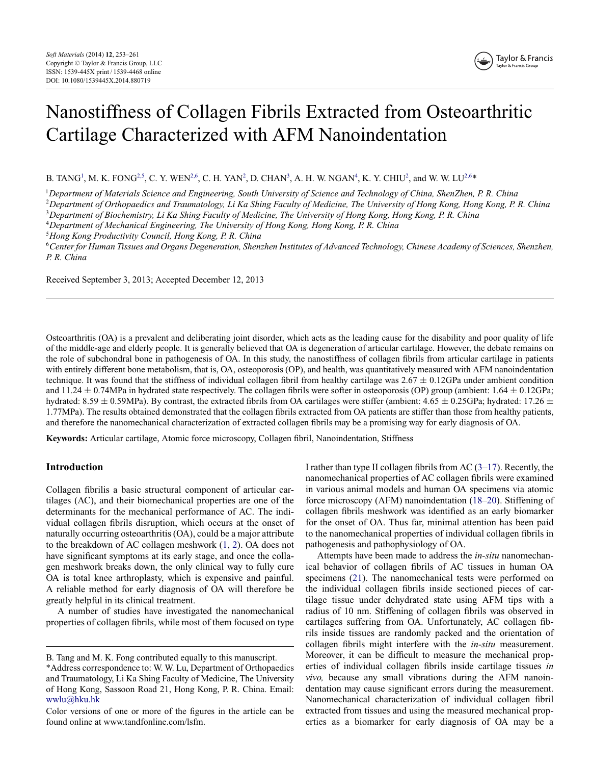

# Nanostiffness of Collagen Fibrils Extracted from Osteoarthritic Cartilage Characterized with AFM Nanoindentation

<span id="page-1-0"></span>B. TANG<sup>1</sup>, M. K. FONG<sup>2,5</sup>, C. Y. WEN<sup>2,6</sup>, C. H. YAN<sup>2</sup>, D. CHAN<sup>3</sup>, A. H. W. NGAN<sup>4</sup>, K. Y. CHIU<sup>2</sup>, and W. W. LU<sup>2,6</sup>\*

<sup>1</sup>*Department of Materials Science and Engineering, South University of Science and Technology of China, ShenZhen, P. R. China*

<sup>2</sup>*Department of Orthopaedics and Traumatology, Li Ka Shing Faculty of Medicine, The University of Hong Kong, Hong Kong, P. R. China*

<sup>3</sup>*Department of Biochemistry, Li Ka Shing Faculty of Medicine, The University of Hong Kong, Hong Kong, P. R. China*

<sup>4</sup>*Department of Mechanical Engineering, The University of Hong Kong, Hong Kong, P. R. China*

<sup>5</sup>*Hong Kong Productivity Council, Hong Kong, P. R. China*

<sup>6</sup>*Center for Human Tissues and Organs Degeneration, Shenzhen Institutes of Advanced Technology, Chinese Academy of Sciences, Shenzhen, P. R. China*

Received September 3, 2013; Accepted December 12, 2013

Osteoarthritis (OA) is a prevalent and deliberating joint disorder, which acts as the leading cause for the disability and poor quality of life of the middle-age and elderly people. It is generally believed that OA is degeneration of articular cartilage. However, the debate remains on the role of subchondral bone in pathogenesis of OA. In this study, the nanostiffness of collagen fibrils from articular cartilage in patients with entirely different bone metabolism, that is, OA, osteoporosis (OP), and health, was quantitatively measured with AFM nanoindentation technique. It was found that the stiffness of individual collagen fibril from healthy cartilage was  $2.67 \pm 0.12$ GPa under ambient condition and 11.24  $\pm$  0.74MPa in hydrated state respectively. The collagen fibrils were softer in osteoporosis (OP) group (ambient: 1.64  $\pm$  0.12GPa; hydrated: 8.59  $\pm$  0.59MPa). By contrast, the extracted fibrils from OA cartilages were stiffer (ambient: 4.65  $\pm$  0.25GPa; hydrated: 17.26  $\pm$ 1.77MPa). The results obtained demonstrated that the collagen fibrils extracted from OA patients are stiffer than those from healthy patients, and therefore the nanomechanical characterization of extracted collagen fibrils may be a promising way for early diagnosis of OA.

**Keywords:** Articular cartilage, Atomic force microscopy, Collagen fibril, Nanoindentation, Stiffness

# **Introduction**

Collagen fibrilis a basic structural component of articular cartilages (AC), and their biomechanical properties are one of the determinants for the mechanical performance of AC. The individual collagen fibrils disruption, which occurs at the onset of naturally occurring osteoarthritis (OA), could be a major attribute to the breakdown of AC collagen meshwork [\(1,](#page-8-0) [2\)](#page-8-1). OA does not have significant symptoms at its early stage, and once the collagen meshwork breaks down, the only clinical way to fully cure OA is total knee arthroplasty, which is expensive and painful. A reliable method for early diagnosis of OA will therefore be greatly helpful in its clinical treatment.

A number of studies have investigated the nanomechanical properties of collagen fibrils, while most of them focused on type I rather than type II collagen fibrils from AC  $(3-17)$  $(3-17)$ . Recently, the nanomechanical properties of AC collagen fibrils were examined in various animal models and human OA specimens via atomic force microscopy (AFM) nanoindentation [\(18–](#page-8-4)[20\)](#page-9-0). Stiffening of collagen fibrils meshwork was identified as an early biomarker for the onset of OA. Thus far, minimal attention has been paid to the nanomechanical properties of individual collagen fibrils in pathogenesis and pathophysiology of OA.

Attempts have been made to address the *in-situ* nanomechanical behavior of collagen fibrils of AC tissues in human OA specimens [\(21\)](#page-9-1). The nanomechanical tests were performed on the individual collagen fibrils inside sectioned pieces of cartilage tissue under dehydrated state using AFM tips with a radius of 10 nm. Stiffening of collagen fibrils was observed in cartilages suffering from OA. Unfortunately, AC collagen fibrils inside tissues are randomly packed and the orientation of collagen fibrils might interfere with the *in-situ* measurement. Moreover, it can be difficult to measure the mechanical properties of individual collagen fibrils inside cartilage tissues *in vivo,* because any small vibrations during the AFM nanoindentation may cause significant errors during the measurement. Nanomechanical characterization of individual collagen fibril extracted from tissues and using the measured mechanical properties as a biomarker for early diagnosis of OA may be a

B. Tang and M. K. Fong contributed equally to this manuscript.

<sup>\*</sup>Address correspondence to: W. W. Lu, Department of Orthopaedics and Traumatology, Li Ka Shing Faculty of Medicine, The University of Hong Kong, Sassoon Road 21, Hong Kong, P. R. China. Email: [wwlu@hku.hk](mailto:wwlu@hku.hk)

Color versions of one or more of the figures in the article can be found online at www.tandfonline.com/lsfm.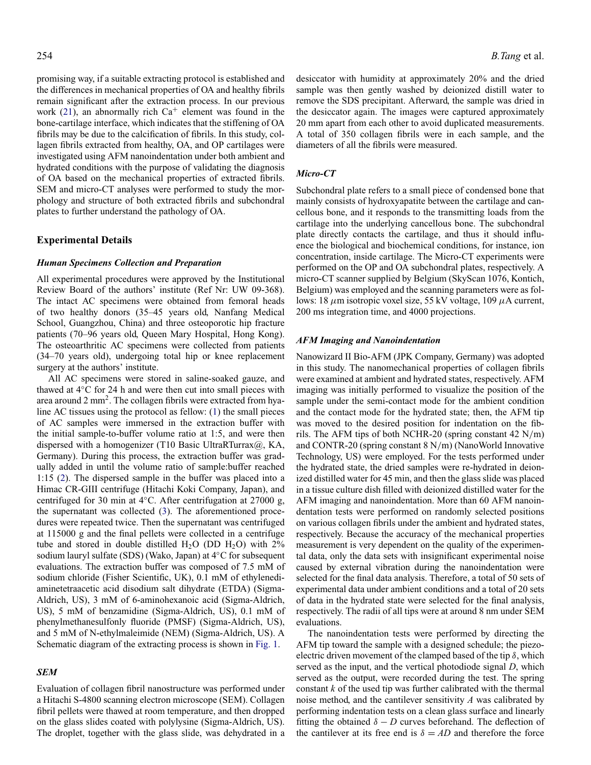promising way, if a suitable extracting protocol is established and the differences in mechanical properties of OA and healthy fibrils remain significant after the extraction process. In our previous work [\(21\)](#page-9-1), an abnormally rich  $Ca^+$  element was found in the bone-cartilage interface, which indicates that the stiffening of OA fibrils may be due to the calcification of fibrils. In this study, collagen fibrils extracted from healthy, OA, and OP cartilages were investigated using AFM nanoindentation under both ambient and hydrated conditions with the purpose of validating the diagnosis of OA based on the mechanical properties of extracted fibrils. SEM and micro-CT analyses were performed to study the morphology and structure of both extracted fibrils and subchondral plates to further understand the pathology of OA.

# **Experimental Details**

#### *Human Specimens Collection and Preparation*

All experimental procedures were approved by the Institutional Review Board of the authors' institute (Ref Nr: UW 09-368). The intact AC specimens were obtained from femoral heads of two healthy donors (35–45 years old, Nanfang Medical School, Guangzhou, China) and three osteoporotic hip fracture patients (70–96 years old, Queen Mary Hospital, Hong Kong). The osteoarthritic AC specimens were collected from patients (34–70 years old), undergoing total hip or knee replacement surgery at the authors' institute.

All AC specimens were stored in saline-soaked gauze, and thawed at 4◦C for 24 h and were then cut into small pieces with area around  $2 \text{ mm}^2$ . The collagen fibrils were extracted from hyaline AC tissues using the protocol as fellow: [\(1\)](#page-8-0) the small pieces of AC samples were immersed in the extraction buffer with the initial sample-to-buffer volume ratio at 1:5, and were then dispersed with a homogenizer (T10 Basic UltraRTurrax@, KA, Germany). During this process, the extraction buffer was gradually added in until the volume ratio of sample:buffer reached 1:15 [\(2\)](#page-8-1). The dispersed sample in the buffer was placed into a Himac CR-GIII centrifuge (Hitachi Koki Company, Japan), and centrifuged for 30 min at 4◦C. After centrifugation at 27000 g, the supernatant was collected [\(3\)](#page-8-2). The aforementioned procedures were repeated twice. Then the supernatant was centrifuged at 115000 g and the final pellets were collected in a centrifuge tube and stored in double distilled  $H_2O$  (DD  $H_2O$ ) with  $2\%$ sodium lauryl sulfate (SDS) (Wako, Japan) at 4◦C for subsequent evaluations. The extraction buffer was composed of 7.5 mM of sodium chloride (Fisher Scientific, UK), 0.1 mM of ethylenediaminetetraacetic acid disodium salt dihydrate (ETDA) (Sigma-Aldrich, US), 3 mM of 6-aminohexanoic acid (Sigma-Aldrich, US), 5 mM of benzamidine (Sigma-Aldrich, US), 0.1 mM of phenylmethanesulfonly fluoride (PMSF) (Sigma-Aldrich, US), and 5 mM of N-ethylmaleimide (NEM) (Sigma-Aldrich, US). A Schematic diagram of the extracting process is shown in [Fig. 1.](#page-3-0)

#### *SEM*

Evaluation of collagen fibril nanostructure was performed under a Hitachi S-4800 scanning electron microscope (SEM). Collagen fibril pellets were thawed at room temperature, and then dropped on the glass slides coated with polylysine (Sigma-Aldrich, US). The droplet, together with the glass slide, was dehydrated in a desiccator with humidity at approximately 20% and the dried sample was then gently washed by deionized distill water to remove the SDS precipitant. Afterward, the sample was dried in the desiccator again. The images were captured approximately 20 mm apart from each other to avoid duplicated measurements. A total of 350 collagen fibrils were in each sample, and the diameters of all the fibrils were measured.

### *Micro-CT*

Subchondral plate refers to a small piece of condensed bone that mainly consists of hydroxyapatite between the cartilage and cancellous bone, and it responds to the transmitting loads from the cartilage into the underlying cancellous bone. The subchondral plate directly contacts the cartilage, and thus it should influence the biological and biochemical conditions, for instance, ion concentration, inside cartilage. The Micro-CT experiments were performed on the OP and OA subchondral plates, respectively. A micro-CT scanner supplied by Belgium (SkyScan 1076, Kontich, Belgium) was employed and the scanning parameters were as follows: 18 μm isotropic voxel size, 55 kV voltage, 109 μA current, 200 ms integration time, and 4000 projections.

### *AFM Imaging and Nanoindentation*

Nanowizard II Bio-AFM (JPK Company, Germany) was adopted in this study. The nanomechanical properties of collagen fibrils were examined at ambient and hydrated states, respectively. AFM imaging was initially performed to visualize the position of the sample under the semi-contact mode for the ambient condition and the contact mode for the hydrated state; then, the AFM tip was moved to the desired position for indentation on the fibrils. The AFM tips of both NCHR-20 (spring constant 42 N/m) and CONTR-20 (spring constant 8 N/m) (NanoWorld Innovative Technology, US) were employed. For the tests performed under the hydrated state, the dried samples were re-hydrated in deionized distilled water for 45 min, and then the glass slide was placed in a tissue culture dish filled with deionized distilled water for the AFM imaging and nanoindentation. More than 60 AFM nanoindentation tests were performed on randomly selected positions on various collagen fibrils under the ambient and hydrated states, respectively. Because the accuracy of the mechanical properties measurement is very dependent on the quality of the experimental data, only the data sets with insignificant experimental noise caused by external vibration during the nanoindentation were selected for the final data analysis. Therefore, a total of 50 sets of experimental data under ambient conditions and a total of 20 sets of data in the hydrated state were selected for the final analysis, respectively. The radii of all tips were at around 8 nm under SEM evaluations.

The nanoindentation tests were performed by directing the AFM tip toward the sample with a designed schedule; the piezoelectric driven movement of the clamped based of the tip  $\delta$ , which served as the input, and the vertical photodiode signal *D*, which served as the output, were recorded during the test. The spring constant *k* of the used tip was further calibrated with the thermal noise method, and the cantilever sensitivity *A* was calibrated by performing indentation tests on a clean glass surface and linearly fitting the obtained  $\delta - D$  curves beforehand. The deflection of the cantilever at its free end is  $\delta = AD$  and therefore the force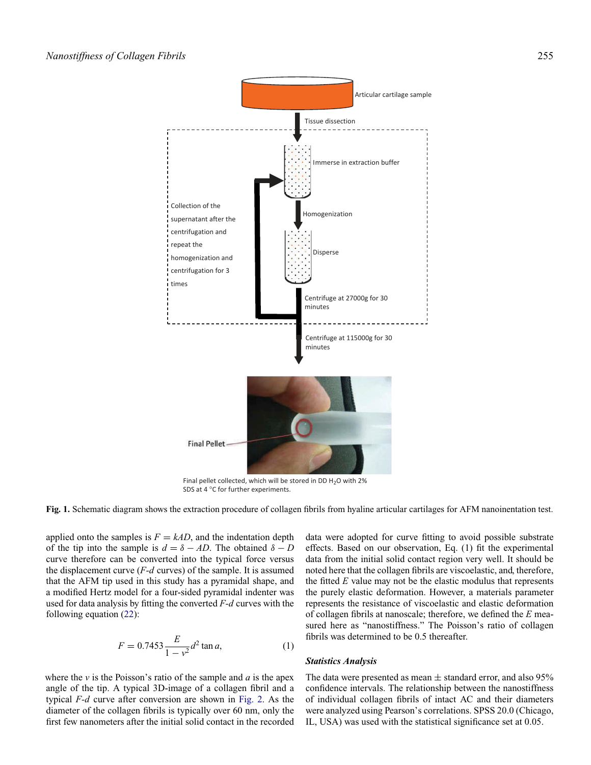<span id="page-3-0"></span>

SDS at 4 °C for further experiments.

**Fig. 1.** Schematic diagram shows the extraction procedure of collagen fibrils from hyaline articular cartilages for AFM nanoinentation test.

applied onto the samples is  $F = kAD$ , and the indentation depth of the tip into the sample is  $d = \delta - AD$ . The obtained  $\delta - D$ curve therefore can be converted into the typical force versus the displacement curve (*F-d* curves) of the sample. It is assumed that the AFM tip used in this study has a pyramidal shape, and a modified Hertz model for a four-sided pyramidal indenter was used for data analysis by fitting the converted *F-d* curves with the following equation [\(22\)](#page-9-2):

$$
F = 0.7453 \frac{E}{1 - v^2} d^2 \tan a,\tag{1}
$$

where the *v* is the Poisson's ratio of the sample and *a* is the apex angle of the tip. A typical 3D-image of a collagen fibril and a typical *F-d* curve after conversion are shown in [Fig. 2.](#page-4-0) As the diameter of the collagen fibrils is typically over 60 nm, only the first few nanometers after the initial solid contact in the recorded data were adopted for curve fitting to avoid possible substrate effects. Based on our observation, Eq. (1) fit the experimental data from the initial solid contact region very well. It should be noted here that the collagen fibrils are viscoelastic, and, therefore, the fitted *E* value may not be the elastic modulus that represents the purely elastic deformation. However, a materials parameter represents the resistance of viscoelastic and elastic deformation of collagen fibrils at nanoscale; therefore, we defined the *E* measured here as "nanostiffness." The Poisson's ratio of collagen fibrils was determined to be 0.5 thereafter.

#### *Statistics Analysis*

The data were presented as mean  $\pm$  standard error, and also 95% confidence intervals. The relationship between the nanostiffness of individual collagen fibrils of intact AC and their diameters were analyzed using Pearson's correlations. SPSS 20.0 (Chicago, IL, USA) was used with the statistical significance set at 0.05.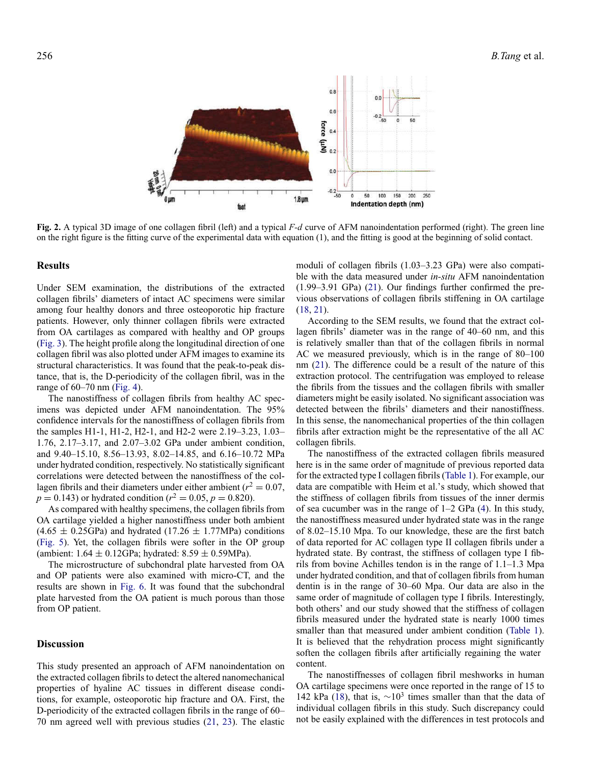<span id="page-4-0"></span>

**Fig. 2.** A typical 3D image of one collagen fibril (left) and a typical *F-d* curve of AFM nanoindentation performed (right). The green line on the right figure is the fitting curve of the experimental data with equation (1), and the fitting is good at the beginning of solid contact.

# **Results**

Under SEM examination, the distributions of the extracted collagen fibrils' diameters of intact AC specimens were similar among four healthy donors and three osteoporotic hip fracture patients. However, only thinner collagen fibrils were extracted from OA cartilages as compared with healthy and OP groups [\(Fig. 3\)](#page-5-0). The height profile along the longitudinal direction of one collagen fibril was also plotted under AFM images to examine its structural characteristics. It was found that the peak-to-peak distance, that is, the D-periodicity of the collagen fibril, was in the range of 60–70 nm [\(Fig. 4\)](#page-6-0).

The nanostiffness of collagen fibrils from healthy AC specimens was depicted under AFM nanoindentation. The 95% confidence intervals for the nanostiffness of collagen fibrils from the samples H1-1, H1-2, H2-1, and H2-2 were 2.19–3.23, 1.03– 1.76, 2.17–3.17, and 2.07–3.02 GPa under ambient condition, and 9.40–15.10, 8.56–13.93, 8.02–14.85, and 6.16–10.72 MPa under hydrated condition, respectively. No statistically significant correlations were detected between the nanostiffness of the collagen fibrils and their diameters under either ambient ( $r^2 = 0.07$ ,  $p = 0.143$ ) or hydrated condition ( $r^2 = 0.05$ ,  $p = 0.820$ ).

As compared with healthy specimens, the collagen fibrils from OA cartilage yielded a higher nanostiffness under both ambient  $(4.65 \pm 0.25$ GPa) and hydrated  $(17.26 \pm 1.77$ MPa) conditions [\(Fig. 5\)](#page-6-1). Yet, the collagen fibrils were softer in the OP group (ambient:  $1.64 \pm 0.12$ GPa; hydrated:  $8.59 \pm 0.59$ MPa).

The microstructure of subchondral plate harvested from OA and OP patients were also examined with micro-CT, and the results are shown in [Fig. 6.](#page-7-0) It was found that the subchondral plate harvested from the OA patient is much porous than those from OP patient.

## **Discussion**

This study presented an approach of AFM nanoindentation on the extracted collagen fibrils to detect the altered nanomechanical properties of hyaline AC tissues in different disease conditions, for example, osteoporotic hip fracture and OA. First, the D-periodicity of the extracted collagen fibrils in the range of 60– 70 nm agreed well with previous studies [\(21,](#page-9-1) [23\)](#page-9-3). The elastic

moduli of collagen fibrils (1.03–3.23 GPa) were also compatible with the data measured under *in-situ* AFM nanoindentation (1.99–3.91 GPa) [\(21\)](#page-9-1). Our findings further confirmed the previous observations of collagen fibrils stiffening in OA cartilage [\(18,](#page-8-4) [21\)](#page-9-1).

According to the SEM results, we found that the extract collagen fibrils' diameter was in the range of 40–60 nm, and this is relatively smaller than that of the collagen fibrils in normal AC we measured previously, which is in the range of 80–100 nm [\(21\)](#page-9-1). The difference could be a result of the nature of this extraction protocol. The centrifugation was employed to release the fibrils from the tissues and the collagen fibrils with smaller diameters might be easily isolated. No significant association was detected between the fibrils' diameters and their nanostiffness. In this sense, the nanomechanical properties of the thin collagen fibrils after extraction might be the representative of the all AC collagen fibrils.

The nanostiffness of the extracted collagen fibrils measured here is in the same order of magnitude of previous reported data for the extracted type I collagen fibrils [\(Table 1\)](#page-7-1). For example, our data are compatible with Heim et al.'s study, which showed that the stiffness of collagen fibrils from tissues of the inner dermis of sea cucumber was in the range of 1–2 GPa [\(4\)](#page-8-5). In this study, the nanostiffness measured under hydrated state was in the range of 8.02–15.10 Mpa. To our knowledge, these are the first batch of data reported for AC collagen type II collagen fibrils under a hydrated state. By contrast, the stiffness of collagen type I fibrils from bovine Achilles tendon is in the range of 1.1–1.3 Mpa under hydrated condition, and that of collagen fibrils from human dentin is in the range of 30–60 Mpa. Our data are also in the same order of magnitude of collagen type I fibrils. Interestingly, both others' and our study showed that the stiffness of collagen fibrils measured under the hydrated state is nearly 1000 times smaller than that measured under ambient condition [\(Table 1\)](#page-7-1). It is believed that the rehydration process might significantly soften the collagen fibrils after artificially regaining the water content.

The nanostiffnesses of collagen fibril meshworks in human OA cartilage specimens were once reported in the range of 15 to 142 kPa [\(18\)](#page-8-4), that is,  $\sim 10^3$  times smaller than that the data of individual collagen fibrils in this study. Such discrepancy could not be easily explained with the differences in test protocols and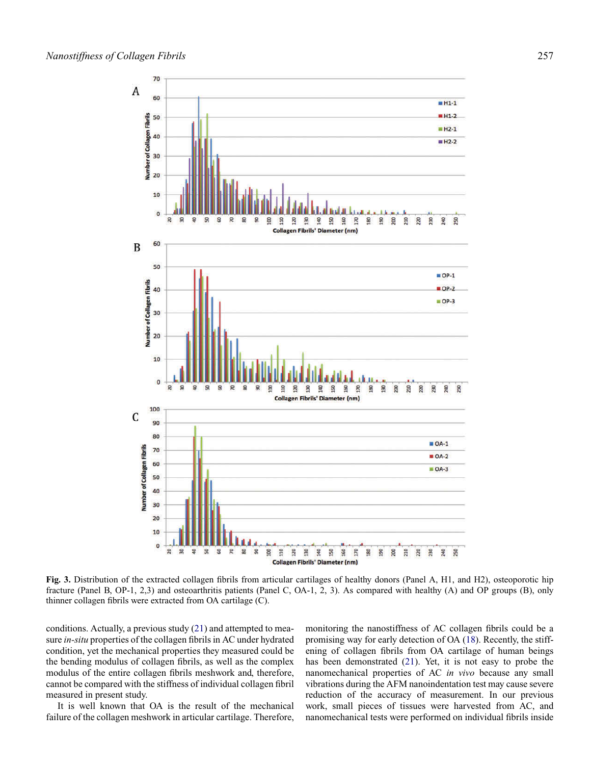<span id="page-5-0"></span>

**Fig. 3.** Distribution of the extracted collagen fibrils from articular cartilages of healthy donors (Panel A, H1, and H2), osteoporotic hip fracture (Panel B, OP-1, 2,3) and osteoarthritis patients (Panel C, OA-1, 2, 3). As compared with healthy (A) and OP groups (B), only thinner collagen fibrils were extracted from OA cartilage (C).

conditions. Actually, a previous study [\(21\)](#page-9-1) and attempted to measure *in-situ* properties of the collagen fibrils in AC under hydrated condition, yet the mechanical properties they measured could be the bending modulus of collagen fibrils, as well as the complex modulus of the entire collagen fibrils meshwork and, therefore, cannot be compared with the stiffness of individual collagen fibril measured in present study.

It is well known that OA is the result of the mechanical failure of the collagen meshwork in articular cartilage. Therefore, monitoring the nanostiffness of AC collagen fibrils could be a promising way for early detection of OA [\(18\)](#page-8-4). Recently, the stiffening of collagen fibrils from OA cartilage of human beings has been demonstrated [\(21\)](#page-9-1). Yet, it is not easy to probe the nanomechanical properties of AC *in vivo* because any small vibrations during the AFM nanoindentation test may cause severe reduction of the accuracy of measurement. In our previous work, small pieces of tissues were harvested from AC, and nanomechanical tests were performed on individual fibrils inside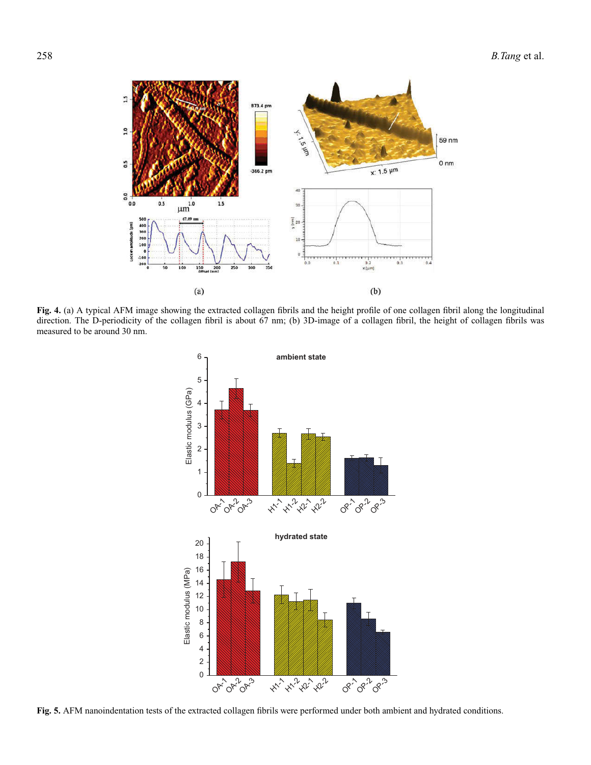<span id="page-6-0"></span>

<span id="page-6-1"></span>**Fig. 4.** (a) A typical AFM image showing the extracted collagen fibrils and the height profile of one collagen fibril along the longitudinal direction. The D-periodicity of the collagen fibril is about 67 nm; (b) 3D-image of a collagen fibril, the height of collagen fibrils was measured to be around 30 nm.



**Fig. 5.** AFM nanoindentation tests of the extracted collagen fibrils were performed under both ambient and hydrated conditions.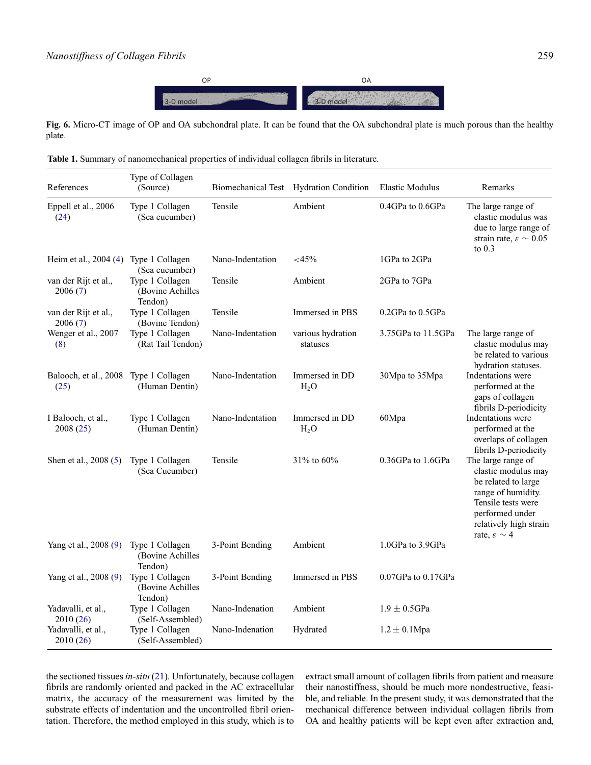<span id="page-7-1"></span>

<span id="page-7-0"></span>**Fig. 6.** Micro-CT image of OP and OA subchondral plate. It can be found that the OA subchondral plate is much porous than the healthy plate.

**Table 1.** Summary of nanomechanical properties of individual collagen fibrils in literature.

| References                                    | Type of Collagen<br>(Source)                   |                  | Biomechanical Test Hydration Condition | Elastic Modulus          | Remarks                                                                                                                                                                                 |
|-----------------------------------------------|------------------------------------------------|------------------|----------------------------------------|--------------------------|-----------------------------------------------------------------------------------------------------------------------------------------------------------------------------------------|
| Eppell et al., 2006<br>(24)                   | Type 1 Collagen<br>(Sea cucumber)              | Tensile          | Ambient                                | 0.4GPa to 0.6GPa         | The large range of<br>elastic modulus was<br>due to large range of<br>strain rate, $\varepsilon \sim 0.05$<br>to $0.3$                                                                  |
| Heim et al., 2004 (4) Type 1 Collagen         | (Sea cucumber)                                 | Nano-Indentation | $<$ 45%                                | 1GPa to 2GPa             |                                                                                                                                                                                         |
| van der Rijt et al.,<br>2006(7)               | Type 1 Collagen<br>(Bovine Achilles<br>Tendon) | Tensile          | Ambient                                | 2GPa to 7GPa             |                                                                                                                                                                                         |
| van der Rijt et al.,<br>2006(7)               | Type 1 Collagen<br>(Bovine Tendon)             | Tensile          | Immersed in PBS                        | 0.2GPa to 0.5GPa         |                                                                                                                                                                                         |
| Wenger et al., 2007<br>(8)                    | Type 1 Collagen<br>(Rat Tail Tendon)           | Nano-Indentation | various hydration<br>statuses          | 3.75GPa to 11.5GPa       | The large range of<br>elastic modulus may<br>be related to various<br>hydration statuses.                                                                                               |
| Balooch, et al., 2008 Type 1 Collagen<br>(25) | (Human Dentin)                                 | Nano-Indentation | Immersed in DD<br>H <sub>2</sub> O     | 30Mpa to 35Mpa           | Indentations were<br>performed at the<br>gaps of collagen<br>fibrils D-periodicity                                                                                                      |
| I Balooch, et al.,<br>2008(25)                | Type 1 Collagen<br>(Human Dentin)              | Nano-Indentation | Immersed in DD<br>$H_2O$               | 60Mpa                    | Indentations were<br>performed at the<br>overlaps of collagen<br>fibrils D-periodicity                                                                                                  |
| Shen et al., 2008 (5)                         | Type 1 Collagen<br>(Sea Cucumber)              | Tensile          | 31% to 60%                             | 0.36GPa to 1.6GPa        | The large range of<br>elastic modulus may<br>be related to large<br>range of humidity.<br>Tensile tests were<br>performed under<br>relatively high strain<br>rate, $\varepsilon \sim 4$ |
| Yang et al., 2008 (9)                         | Type 1 Collagen<br>(Bovine Achilles<br>Tendon) | 3-Point Bending  | Ambient                                | 1.0GPa to 3.9GPa         |                                                                                                                                                                                         |
| Yang et al., 2008 (9)                         | Type 1 Collagen<br>(Bovine Achilles<br>Tendon) | 3-Point Bending  | Immersed in PBS                        | $0.07$ GPa to $0.17$ GPa |                                                                                                                                                                                         |
| Yadavalli, et al.,<br>2010(26)                | Type 1 Collagen<br>(Self-Assembled)            | Nano-Indenation  | Ambient                                | $1.9 \pm 0.5$ GPa        |                                                                                                                                                                                         |
| Yadavalli, et al.,<br>2010 (26)               | Type 1 Collagen<br>(Self-Assembled)            | Nano-Indenation  | Hydrated                               | $1.2 \pm 0.1$ Mpa        |                                                                                                                                                                                         |

the sectioned tissues*in-situ* [\(21\)](#page-9-1)*.* Unfortunately, because collagen fibrils are randomly oriented and packed in the AC extracellular matrix, the accuracy of the measurement was limited by the substrate effects of indentation and the uncontrolled fibril orientation. Therefore, the method employed in this study, which is to extract small amount of collagen fibrils from patient and measure their nanostiffness, should be much more nondestructive, feasible, and reliable. In the present study, it was demonstrated that the mechanical difference between individual collagen fibrils from OA and healthy patients will be kept even after extraction and,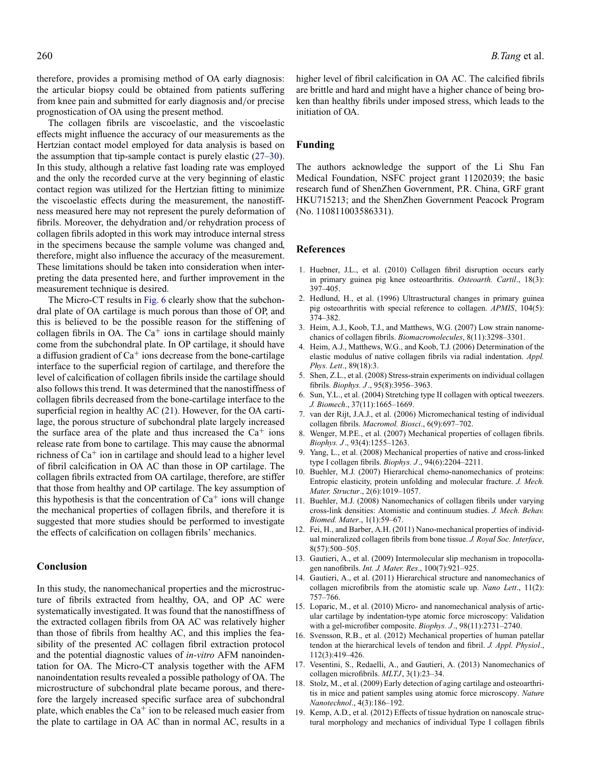therefore, provides a promising method of OA early diagnosis: the articular biopsy could be obtained from patients suffering from knee pain and submitted for early diagnosis and/or precise prognostication of OA using the present method.

The collagen fibrils are viscoelastic, and the viscoelastic effects might influence the accuracy of our measurements as the Hertzian contact model employed for data analysis is based on the assumption that tip-sample contact is purely elastic [\(27](#page-9-7)[–30\)](#page-9-8). In this study, although a relative fast loading rate was employed and the only the recorded curve at the very beginning of elastic contact region was utilized for the Hertzian fitting to minimize the viscoelastic effects during the measurement, the nanostiffness measured here may not represent the purely deformation of fibrils. Moreover, the dehydration and/or rehydration process of collagen fibrils adopted in this work may introduce internal stress in the specimens because the sample volume was changed and, therefore, might also influence the accuracy of the measurement. These limitations should be taken into consideration when interpreting the data presented here, and further improvement in the measurement technique is desired.

The Micro-CT results in [Fig. 6](#page-7-0) clearly show that the subchondral plate of OA cartilage is much porous than those of OP, and this is believed to be the possible reason for the stiffening of collagen fibrils in OA. The  $Ca<sup>+</sup>$  ions in cartilage should mainly come from the subchondral plate. In OP cartilage, it should have a diffusion gradient of  $Ca^+$  ions decrease from the bone-cartilage interface to the superficial region of cartilage, and therefore the level of calcification of collagen fibrils inside the cartilage should also follows this trend. It was determined that the nanostiffness of collagen fibrils decreased from the bone-cartilage interface to the superficial region in healthy AC [\(21\)](#page-9-1). However, for the OA cartilage, the porous structure of subchondral plate largely increased the surface area of the plate and thus increased the  $Ca<sup>+</sup>$  ions release rate from bone to cartilage. This may cause the abnormal richness of  $Ca<sup>+</sup>$  ion in cartilage and should lead to a higher level of fibril calcification in OA AC than those in OP cartilage. The collagen fibrils extracted from OA cartilage, therefore, are stiffer that those from healthy and OP cartilage. The key assumption of this hypothesis is that the concentration of  $Ca^+$  ions will change the mechanical properties of collagen fibrils, and therefore it is suggested that more studies should be performed to investigate the effects of calcification on collagen fibrils' mechanics.

# **Conclusion**

In this study, the nanomechanical properties and the microstructure of fibrils extracted from healthy, OA, and OP AC were systematically investigated. It was found that the nanostiffness of the extracted collagen fibrils from OA AC was relatively higher than those of fibrils from healthy AC, and this implies the feasibility of the presented AC collagen fibril extraction protocol and the potential diagnostic values of *in-vitro* AFM nanoindentation for OA. The Micro-CT analysis together with the AFM nanoindentation results revealed a possible pathology of OA. The microstructure of subchondral plate became porous, and therefore the largely increased specific surface area of subchondral plate, which enables the  $Ca<sup>+</sup>$  ion to be released much easier from the plate to cartilage in OA AC than in normal AC, results in a

higher level of fibril calcification in OA AC. The calcified fibrils are brittle and hard and might have a higher chance of being broken than healthy fibrils under imposed stress, which leads to the initiation of OA.

#### **Funding**

The authors acknowledge the support of the Li Shu Fan Medical Foundation, NSFC project grant 11202039; the basic research fund of ShenZhen Government, P.R. China, GRF grant HKU715213; and the ShenZhen Government Peacock Program (No. 110811003586331).

#### **References**

- <span id="page-8-0"></span>1. Huebner, J.L., et al. (2010) Collagen fibril disruption occurs early in primary guinea pig knee osteoarthritis. *Osteoarth. Cartil*., 18(3): 397–405.
- <span id="page-8-1"></span>2. Hedlund, H., et al. (1996) Ultrastructural changes in primary guinea pig osteoarthritis with special reference to collagen. *APMIS*, 104(5): 374–382.
- <span id="page-8-2"></span>3. Heim, A.J., Koob, T.J., and Matthews, W.G. (2007) Low strain nanomechanics of collagen fibrils. *Biomacromolecules*, 8(11):3298–3301.
- <span id="page-8-5"></span>4. Heim, A.J., Matthews, W.G., and Koob, T.J. (2006) Determination of the elastic modulus of native collagen fibrils via radial indentation. *Appl. Phys. Lett*., 89(18):3.
- <span id="page-8-8"></span>5. Shen, Z.L., et al. (2008) Stress-strain experiments on individual collagen fibrils. *Biophys. J*., 95(8):3956–3963.
- 6. Sun, Y.L., et al. (2004) Stretching type II collagen with optical tweezers. *J. Biomech*., 37(11):1665–1669.
- <span id="page-8-6"></span>7. van der Rijt, J.A.J., et al. (2006) Micromechanical testing of individual collagen fibrils. *Macromol. Biosci*., 6(9):697–702.
- <span id="page-8-7"></span>8. Wenger, M.P.E., et al. (2007) Mechanical properties of collagen fibrils. *Biophys. J*., 93(4):1255–1263.
- <span id="page-8-9"></span>9. Yang, L., et al. (2008) Mechanical properties of native and cross-linked type I collagen fibrils. *Biophys. J*., 94(6):2204–2211.
- 10. Buehler, M.J. (2007) Hierarchical chemo-nanomechanics of proteins: Entropic elasticity, protein unfolding and molecular fracture. *J. Mech. Mater. Structur*., 2(6):1019–1057.
- 11. Buehler, M.J. (2008) Nanomechanics of collagen fibrils under varying cross-link densities: Atomistic and continuum studies. *J. Mech. Behav. Biomed. Mater*., 1(1):59–67.
- 12. Fei, H., and Barber, A.H. (2011) Nano-mechanical properties of individual mineralized collagen fibrils from bone tissue. *J. Royal Soc. Interface*, 8(57):500–505.
- 13. Gautieri, A., et al. (2009) Intermolecular slip mechanism in tropocollagen nanofibrils. *Int. J. Mater. Res*., 100(7):921–925.
- 14. Gautieri, A., et al. (2011) Hierarchical structure and nanomechanics of collagen microfibrils from the atomistic scale up. *Nano Lett*., 11(2): 757–766.
- 15. Loparic, M., et al. (2010) Micro- and nanomechanical analysis of articular cartilage by indentation-type atomic force microscopy: Validation with a gel-microfiber composite. *Biophys. J*., 98(11):2731–2740.
- 16. Svensson, R.B., et al. (2012) Mechanical properties of human patellar tendon at the hierarchical levels of tendon and fibril. *J. Appl. Physiol*., 112(3):419–426.
- <span id="page-8-3"></span>17. Vesentini, S., Redaelli, A., and Gautieri, A. (2013) Nanomechanics of collagen microfibrils. *MLTJ*, 3(1):23–34.
- <span id="page-8-4"></span>18. Stolz, M., et al. (2009) Early detection of aging cartilage and osteoarthritis in mice and patient samples using atomic force microscopy. *Nature Nanotechnol*., 4(3):186–192.
- 19. Kemp, A.D., et al. (2012) Effects of tissue hydration on nanoscale structural morphology and mechanics of individual Type I collagen fibrils